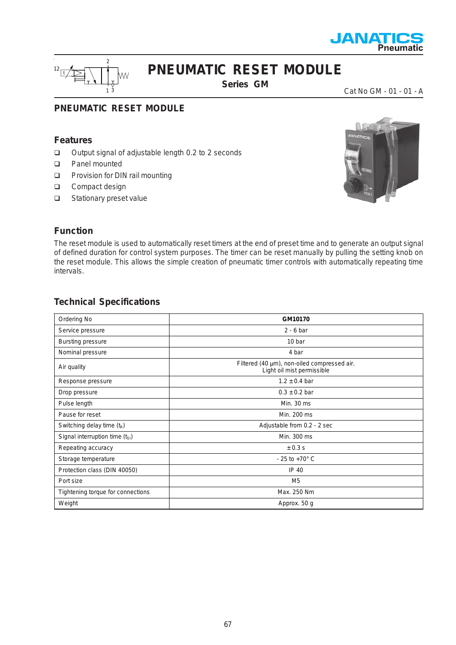



# **PNEUMATIC RESET MODULE**

**Series GM**

Cat No GM - 01 - 01 - A

### **PNEUMATIC RESET MODULE**

#### **Features**

- □ Output signal of adjustable length 0.2 to 2 seconds
- Panel mounted
- **D** Provision for DIN rail mounting
- Compact design
- □ Stationary preset value



### **Function**

The reset module is used to automatically reset timers at the end of preset time and to generate an output signal of defined duration for control system purposes. The timer can be reset manually by pulling the setting knob on the reset module. This allows the simple creation of pneumatic timer controls with automatically repeating time intervals.

#### **Technical Specifications**

| Ordering No                       | GM10170                                                                   |
|-----------------------------------|---------------------------------------------------------------------------|
| Service pressure                  | $2 - 6$ bar                                                               |
| <b>Bursting pressure</b>          | 10 bar                                                                    |
| Nominal pressure                  | 4 bar                                                                     |
| Air quality                       | Filtered (40 µm), non-oiled compressed air.<br>Light oil mist permissible |
| Response pressure                 | $1.2 \pm 0.4$ bar                                                         |
| Drop pressure                     | $0.3 \pm 0.2$ bar                                                         |
| Pulse length                      | Min. 30 ms                                                                |
| Pause for reset                   | Min. 200 ms                                                               |
| Switching delay time $(t_R)$      | Adjustable from 0.2 - 2 sec                                               |
| Signal interruption time (tsi)    | Min. 300 ms                                                               |
| Repeating accuracy                | $\pm 0.3$ s                                                               |
| Storage temperature               | $-25$ to $+70^{\circ}$ C                                                  |
| Protection class (DIN 40050)      | IP 40                                                                     |
| Port size                         | M <sub>5</sub>                                                            |
| Tightening torque for connections | Max. 250 Nm                                                               |
| Weight                            | Approx. 50 g                                                              |